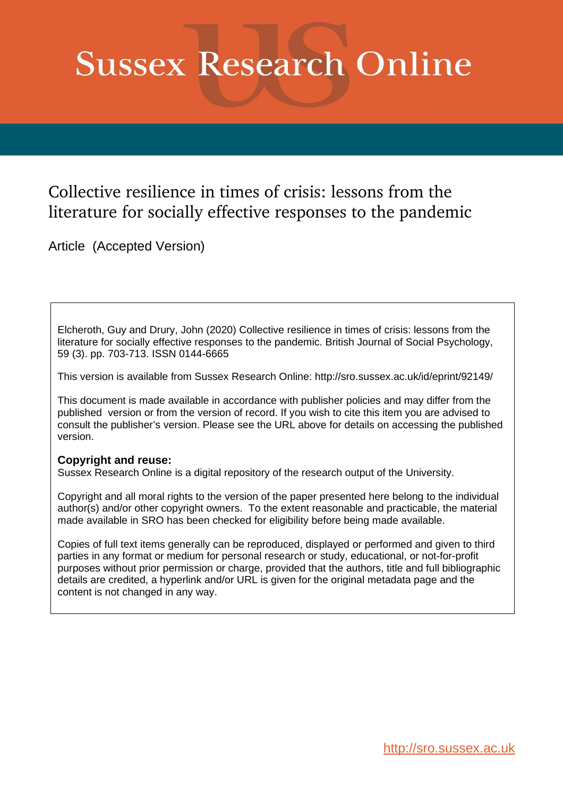# **Sussex Research Online**

### Collective resilience in times of crisis: lessons from the literature for socially effective responses to the pandemic

Article (Accepted Version)

Elcheroth, Guy and Drury, John (2020) Collective resilience in times of crisis: lessons from the literature for socially effective responses to the pandemic. British Journal of Social Psychology, 59 (3). pp. 703-713. ISSN 0144-6665

This version is available from Sussex Research Online: http://sro.sussex.ac.uk/id/eprint/92149/

This document is made available in accordance with publisher policies and may differ from the published version or from the version of record. If you wish to cite this item you are advised to consult the publisher's version. Please see the URL above for details on accessing the published version.

### **Copyright and reuse:**

Sussex Research Online is a digital repository of the research output of the University.

Copyright and all moral rights to the version of the paper presented here belong to the individual author(s) and/or other copyright owners. To the extent reasonable and practicable, the material made available in SRO has been checked for eligibility before being made available.

Copies of full text items generally can be reproduced, displayed or performed and given to third parties in any format or medium for personal research or study, educational, or not-for-profit purposes without prior permission or charge, provided that the authors, title and full bibliographic details are credited, a hyperlink and/or URL is given for the original metadata page and the content is not changed in any way.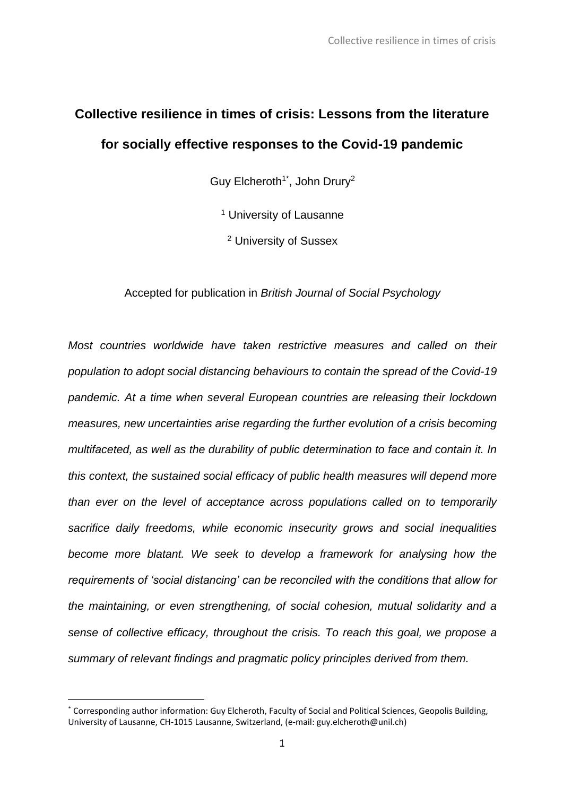## **Collective resilience in times of crisis: Lessons from the literature for socially effective responses to the Covid-19 pandemic**

Guy Elcheroth<sup>1\*</sup>, John Drury<sup>2</sup>

<sup>1</sup> University of Lausanne

<sup>2</sup> University of Sussex

### Accepted for publication in *British Journal of Social Psychology*

*Most countries worldwide have taken restrictive measures and called on their population to adopt social distancing behaviours to contain the spread of the Covid-19 pandemic. At a time when several European countries are releasing their lockdown measures, new uncertainties arise regarding the further evolution of a crisis becoming multifaceted, as well as the durability of public determination to face and contain it. In this context, the sustained social efficacy of public health measures will depend more than ever on the level of acceptance across populations called on to temporarily sacrifice daily freedoms, while economic insecurity grows and social inequalities*  become more blatant. We seek to develop a framework for analysing how the *requirements of 'social distancing' can be reconciled with the conditions that allow for the maintaining, or even strengthening, of social cohesion, mutual solidarity and a sense of collective efficacy, throughout the crisis. To reach this goal, we propose a summary of relevant findings and pragmatic policy principles derived from them.* 

<sup>\*</sup> Corresponding author information: Guy Elcheroth, Faculty of Social and Political Sciences, Geopolis Building, University of Lausanne, CH-1015 Lausanne, Switzerland, (e-mail: guy.elcheroth@unil.ch)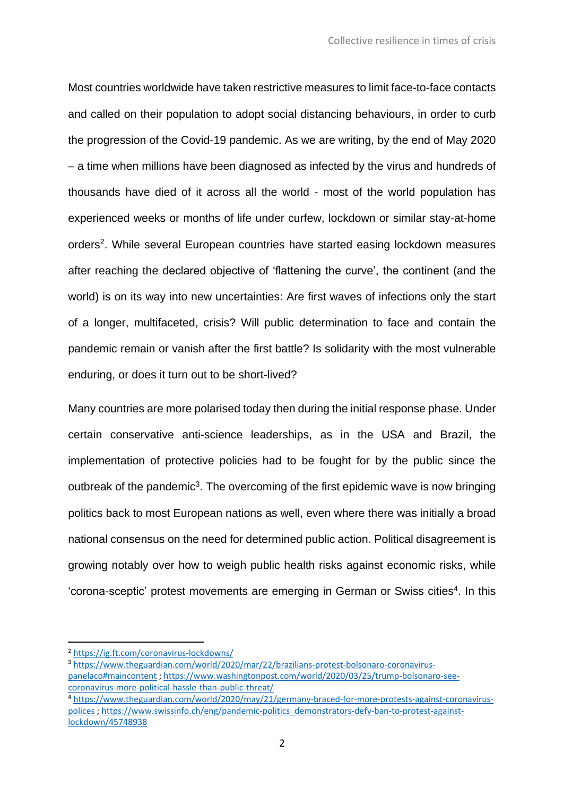Most countries worldwide have taken restrictive measures to limit face-to-face contacts and called on their population to adopt social distancing behaviours, in order to curb the progression of the Covid-19 pandemic. As we are writing, by the end of May 2020 – a time when millions have been diagnosed as infected by the virus and hundreds of thousands have died of it across all the world - most of the world population has experienced weeks or months of life under curfew, lockdown or similar stay-at-home orders<sup>2</sup>. While several European countries have started easing lockdown measures after reaching the declared objective of 'flattening the curve', the continent (and the world) is on its way into new uncertainties: Are first waves of infections only the start of a longer, multifaceted, crisis? Will public determination to face and contain the pandemic remain or vanish after the first battle? Is solidarity with the most vulnerable enduring, or does it turn out to be short-lived?

Many countries are more polarised today then during the initial response phase. Under certain conservative anti-science leaderships, as in the USA and Brazil, the implementation of protective policies had to be fought for by the public since the outbreak of the pandemic<sup>3</sup>. The overcoming of the first epidemic wave is now bringing politics back to most European nations as well, even where there was initially a broad national consensus on the need for determined public action. Political disagreement is growing notably over how to weigh public health risks against economic risks, while 'corona-sceptic' protest movements are emerging in German or Swiss cities<sup>4</sup>. In this

<sup>2</sup> <https://ig.ft.com/coronavirus-lockdowns/>

<sup>3</sup> [https://www.theguardian.com/world/2020/mar/22/brazilians-protest-bolsonaro-coronavirus](https://www.theguardian.com/world/2020/mar/22/brazilians-protest-bolsonaro-coronavirus-panelaco#maincontent)[panelaco#maincontent](https://www.theguardian.com/world/2020/mar/22/brazilians-protest-bolsonaro-coronavirus-panelaco#maincontent) ; [https://www.washingtonpost.com/world/2020/03/25/trump-bolsonaro-see](https://www.washingtonpost.com/world/2020/03/25/trump-bolsonaro-see-coronavirus-more-political-hassle-than-public-threat/)[coronavirus-more-political-hassle-than-public-threat/](https://www.washingtonpost.com/world/2020/03/25/trump-bolsonaro-see-coronavirus-more-political-hassle-than-public-threat/)

<sup>4</sup> [https://www.theguardian.com/world/2020/may/21/germany-braced-for-more-protests-against-coronavirus](https://www.theguardian.com/world/2020/may/21/germany-braced-for-more-protests-against-coronavirus-polices)[polices](https://www.theguardian.com/world/2020/may/21/germany-braced-for-more-protests-against-coronavirus-polices) [; https://www.swissinfo.ch/eng/pandemic-politics\\_demonstrators-defy-ban-to-protest-against](https://www.swissinfo.ch/eng/pandemic-politics_demonstrators-defy-ban-to-protest-against-lockdown/45748938)[lockdown/45748938](https://www.swissinfo.ch/eng/pandemic-politics_demonstrators-defy-ban-to-protest-against-lockdown/45748938)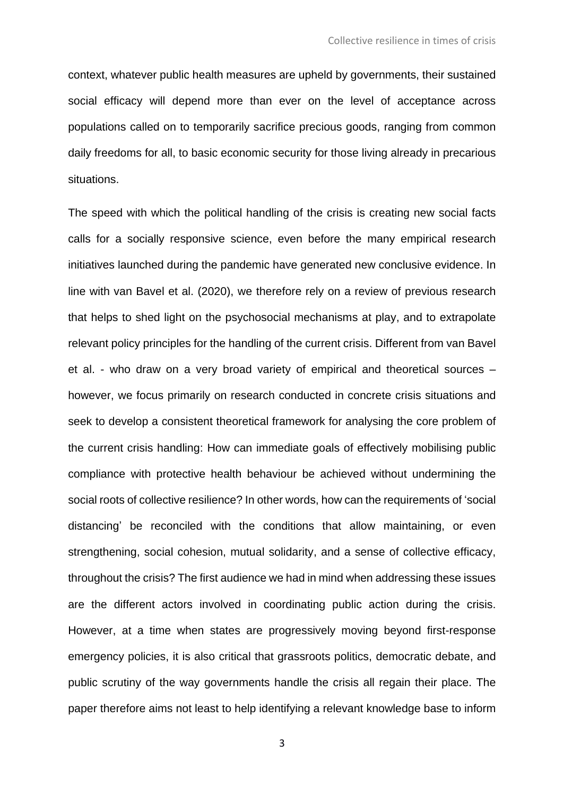context, whatever public health measures are upheld by governments, their sustained social efficacy will depend more than ever on the level of acceptance across populations called on to temporarily sacrifice precious goods, ranging from common daily freedoms for all, to basic economic security for those living already in precarious situations.

The speed with which the political handling of the crisis is creating new social facts calls for a socially responsive science, even before the many empirical research initiatives launched during the pandemic have generated new conclusive evidence. In line with van Bavel et al. (2020), we therefore rely on a review of previous research that helps to shed light on the psychosocial mechanisms at play, and to extrapolate relevant policy principles for the handling of the current crisis. Different from van Bavel et al. - who draw on a very broad variety of empirical and theoretical sources – however, we focus primarily on research conducted in concrete crisis situations and seek to develop a consistent theoretical framework for analysing the core problem of the current crisis handling: How can immediate goals of effectively mobilising public compliance with protective health behaviour be achieved without undermining the social roots of collective resilience? In other words, how can the requirements of 'social distancing' be reconciled with the conditions that allow maintaining, or even strengthening, social cohesion, mutual solidarity, and a sense of collective efficacy, throughout the crisis? The first audience we had in mind when addressing these issues are the different actors involved in coordinating public action during the crisis. However, at a time when states are progressively moving beyond first-response emergency policies, it is also critical that grassroots politics, democratic debate, and public scrutiny of the way governments handle the crisis all regain their place. The paper therefore aims not least to help identifying a relevant knowledge base to inform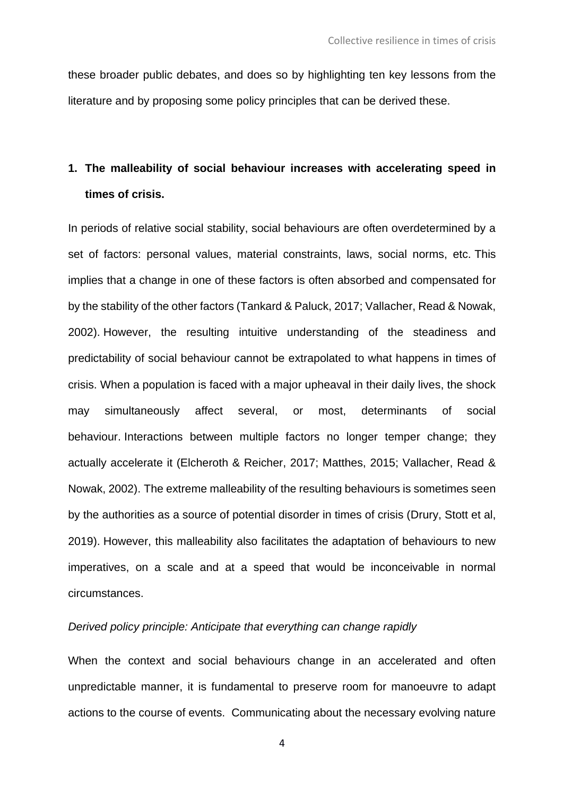these broader public debates, and does so by highlighting ten key lessons from the literature and by proposing some policy principles that can be derived these.

### **1. The malleability of social behaviour increases with accelerating speed in times of crisis.**

In periods of relative social stability, social behaviours are often overdetermined by a set of factors: personal values, material constraints, laws, social norms, etc. This implies that a change in one of these factors is often absorbed and compensated for by the stability of the other factors (Tankard & Paluck, 2017; Vallacher, Read & Nowak, 2002). However, the resulting intuitive understanding of the steadiness and predictability of social behaviour cannot be extrapolated to what happens in times of crisis. When a population is faced with a major upheaval in their daily lives, the shock may simultaneously affect several, or most, determinants of social behaviour. Interactions between multiple factors no longer temper change; they actually accelerate it (Elcheroth & Reicher, 2017; Matthes, 2015; Vallacher, Read & Nowak, 2002). The extreme malleability of the resulting behaviours is sometimes seen by the authorities as a source of potential disorder in times of crisis (Drury, Stott et al, 2019). However, this malleability also facilitates the adaptation of behaviours to new imperatives, on a scale and at a speed that would be inconceivable in normal circumstances.

### *Derived policy principle: Anticipate that everything can change rapidly*

When the context and social behaviours change in an accelerated and often unpredictable manner, it is fundamental to preserve room for manoeuvre to adapt actions to the course of events. Communicating about the necessary evolving nature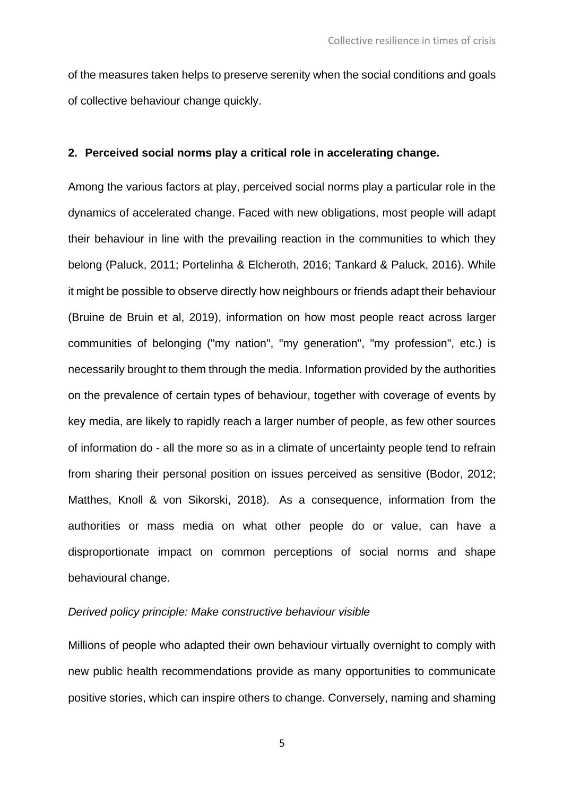of the measures taken helps to preserve serenity when the social conditions and goals of collective behaviour change quickly.

### **2. Perceived social norms play a critical role in accelerating change.**

Among the various factors at play, perceived social norms play a particular role in the dynamics of accelerated change. Faced with new obligations, most people will adapt their behaviour in line with the prevailing reaction in the communities to which they belong (Paluck, 2011; Portelinha & Elcheroth, 2016; Tankard & Paluck, 2016). While it might be possible to observe directly how neighbours or friends adapt their behaviour (Bruine de Bruin et al, 2019), information on how most people react across larger communities of belonging ("my nation", "my generation", "my profession", etc.) is necessarily brought to them through the media. Information provided by the authorities on the prevalence of certain types of behaviour, together with coverage of events by key media, are likely to rapidly reach a larger number of people, as few other sources of information do - all the more so as in a climate of uncertainty people tend to refrain from sharing their personal position on issues perceived as sensitive (Bodor, 2012; Matthes, Knoll & von Sikorski, 2018). As a consequence, information from the authorities or mass media on what other people do or value, can have a disproportionate impact on common perceptions of social norms and shape behavioural change.

### *Derived policy principle: Make constructive behaviour visible*

Millions of people who adapted their own behaviour virtually overnight to comply with new public health recommendations provide as many opportunities to communicate positive stories, which can inspire others to change. Conversely, naming and shaming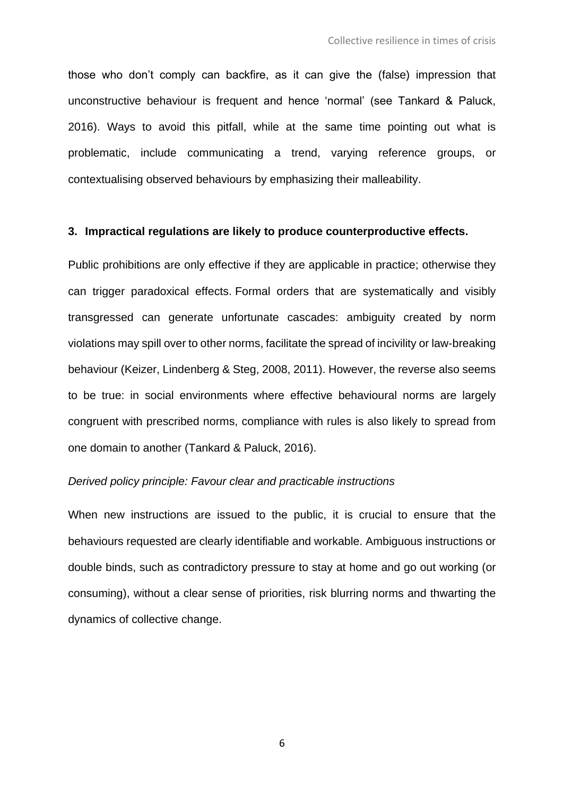those who don't comply can backfire, as it can give the (false) impression that unconstructive behaviour is frequent and hence 'normal' (see Tankard & Paluck, 2016). Ways to avoid this pitfall, while at the same time pointing out what is problematic, include communicating a trend, varying reference groups, or contextualising observed behaviours by emphasizing their malleability.

#### **3. Impractical regulations are likely to produce counterproductive effects.**

Public prohibitions are only effective if they are applicable in practice; otherwise they can trigger paradoxical effects. Formal orders that are systematically and visibly transgressed can generate unfortunate cascades: ambiguity created by norm violations may spill over to other norms, facilitate the spread of incivility or law-breaking behaviour (Keizer, Lindenberg & Steg, 2008, 2011). However, the reverse also seems to be true: in social environments where effective behavioural norms are largely congruent with prescribed norms, compliance with rules is also likely to spread from one domain to another (Tankard & Paluck, 2016).

#### *Derived policy principle: Favour clear and practicable instructions*

When new instructions are issued to the public, it is crucial to ensure that the behaviours requested are clearly identifiable and workable. Ambiguous instructions or double binds, such as contradictory pressure to stay at home and go out working (or consuming), without a clear sense of priorities, risk blurring norms and thwarting the dynamics of collective change.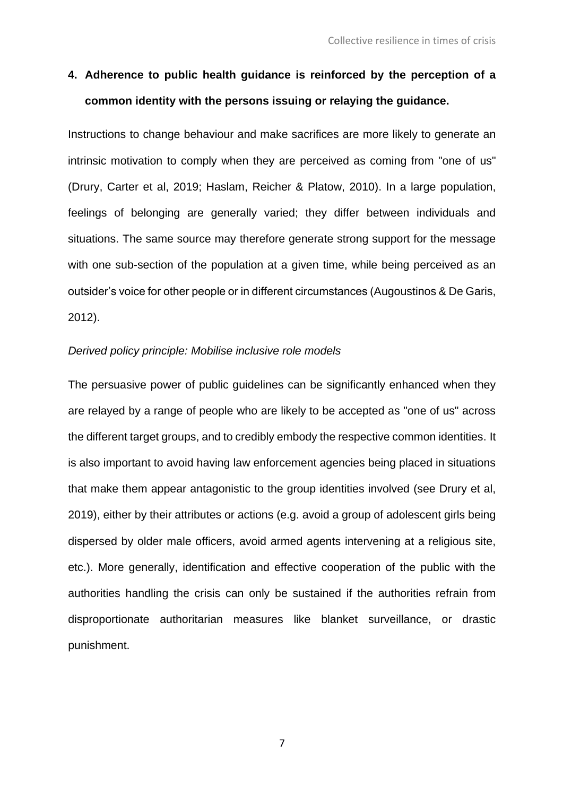### **4. Adherence to public health guidance is reinforced by the perception of a common identity with the persons issuing or relaying the guidance.**

Instructions to change behaviour and make sacrifices are more likely to generate an intrinsic motivation to comply when they are perceived as coming from "one of us" (Drury, Carter et al, 2019; Haslam, Reicher & Platow, 2010). In a large population, feelings of belonging are generally varied; they differ between individuals and situations. The same source may therefore generate strong support for the message with one sub-section of the population at a given time, while being perceived as an outsider's voice for other people or in different circumstances (Augoustinos & De Garis, 2012).

### *Derived policy principle: Mobilise inclusive role models*

The persuasive power of public guidelines can be significantly enhanced when they are relayed by a range of people who are likely to be accepted as "one of us" across the different target groups, and to credibly embody the respective common identities. It is also important to avoid having law enforcement agencies being placed in situations that make them appear antagonistic to the group identities involved (see Drury et al, 2019), either by their attributes or actions (e.g. avoid a group of adolescent girls being dispersed by older male officers, avoid armed agents intervening at a religious site, etc.). More generally, identification and effective cooperation of the public with the authorities handling the crisis can only be sustained if the authorities refrain from disproportionate authoritarian measures like blanket surveillance, or drastic punishment.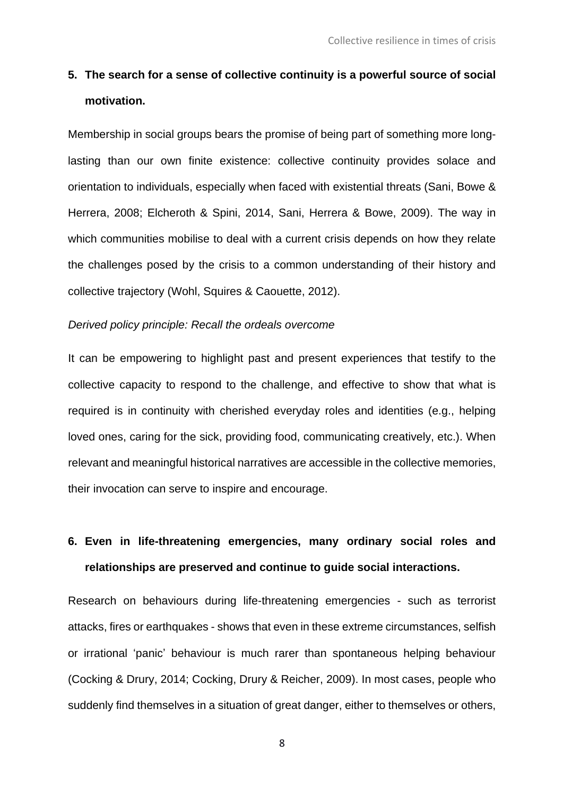### **5. The search for a sense of collective continuity is a powerful source of social motivation.**

Membership in social groups bears the promise of being part of something more longlasting than our own finite existence: collective continuity provides solace and orientation to individuals, especially when faced with existential threats (Sani, Bowe & Herrera, 2008; Elcheroth & Spini, 2014, Sani, Herrera & Bowe, 2009). The way in which communities mobilise to deal with a current crisis depends on how they relate the challenges posed by the crisis to a common understanding of their history and collective trajectory (Wohl, Squires & Caouette, 2012).

### *Derived policy principle: Recall the ordeals overcome*

It can be empowering to highlight past and present experiences that testify to the collective capacity to respond to the challenge, and effective to show that what is required is in continuity with cherished everyday roles and identities (e.g., helping loved ones, caring for the sick, providing food, communicating creatively, etc.). When relevant and meaningful historical narratives are accessible in the collective memories, their invocation can serve to inspire and encourage.

### **6. Even in life-threatening emergencies, many ordinary social roles and relationships are preserved and continue to guide social interactions.**

Research on behaviours during life-threatening emergencies - such as terrorist attacks, fires or earthquakes - shows that even in these extreme circumstances, selfish or irrational 'panic' behaviour is much rarer than spontaneous helping behaviour (Cocking & Drury, 2014; Cocking, Drury & Reicher, 2009). In most cases, people who suddenly find themselves in a situation of great danger, either to themselves or others,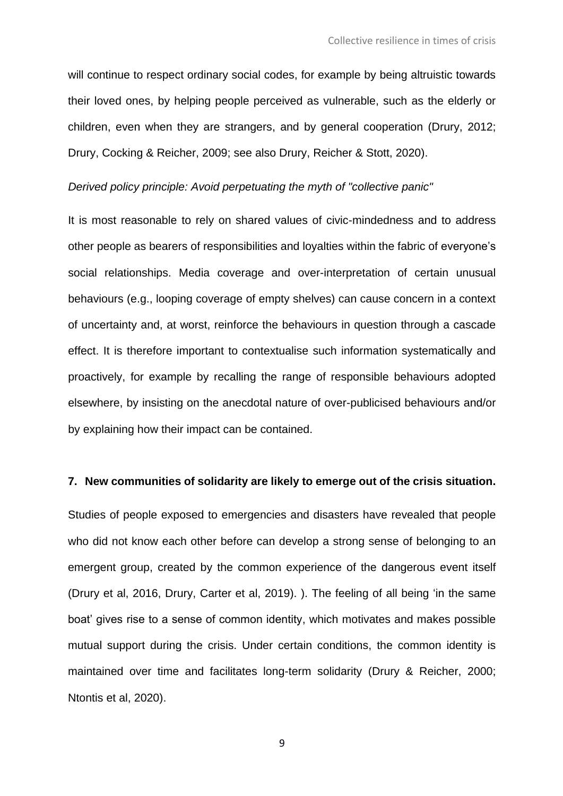will continue to respect ordinary social codes, for example by being altruistic towards their loved ones, by helping people perceived as vulnerable, such as the elderly or children, even when they are strangers, and by general cooperation (Drury, 2012; Drury, Cocking & Reicher, 2009; see also Drury, Reicher & Stott, 2020).

#### *Derived policy principle: Avoid perpetuating the myth of "collective panic"*

It is most reasonable to rely on shared values of civic-mindedness and to address other people as bearers of responsibilities and loyalties within the fabric of everyone's social relationships. Media coverage and over-interpretation of certain unusual behaviours (e.g., looping coverage of empty shelves) can cause concern in a context of uncertainty and, at worst, reinforce the behaviours in question through a cascade effect. It is therefore important to contextualise such information systematically and proactively, for example by recalling the range of responsible behaviours adopted elsewhere, by insisting on the anecdotal nature of over-publicised behaviours and/or by explaining how their impact can be contained.

### **7. New communities of solidarity are likely to emerge out of the crisis situation.**

Studies of people exposed to emergencies and disasters have revealed that people who did not know each other before can develop a strong sense of belonging to an emergent group, created by the common experience of the dangerous event itself (Drury et al, 2016, Drury, Carter et al, 2019). ). The feeling of all being 'in the same boat' gives rise to a sense of common identity, which motivates and makes possible mutual support during the crisis. Under certain conditions, the common identity is maintained over time and facilitates long-term solidarity (Drury & Reicher, 2000; Ntontis et al, 2020).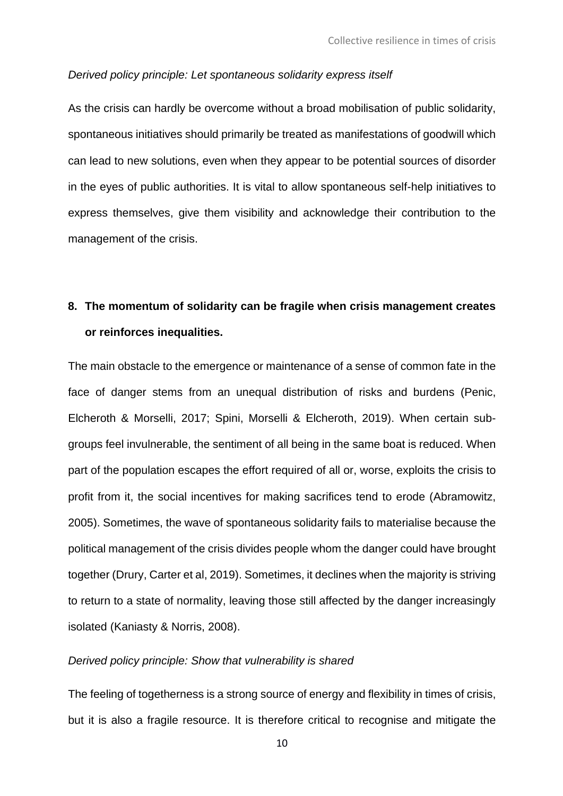#### *Derived policy principle: Let spontaneous solidarity express itself*

As the crisis can hardly be overcome without a broad mobilisation of public solidarity, spontaneous initiatives should primarily be treated as manifestations of goodwill which can lead to new solutions, even when they appear to be potential sources of disorder in the eyes of public authorities. It is vital to allow spontaneous self-help initiatives to express themselves, give them visibility and acknowledge their contribution to the management of the crisis.

### **8. The momentum of solidarity can be fragile when crisis management creates or reinforces inequalities.**

The main obstacle to the emergence or maintenance of a sense of common fate in the face of danger stems from an unequal distribution of risks and burdens (Penic, Elcheroth & Morselli, 2017; Spini, Morselli & Elcheroth, 2019). When certain subgroups feel invulnerable, the sentiment of all being in the same boat is reduced. When part of the population escapes the effort required of all or, worse, exploits the crisis to profit from it, the social incentives for making sacrifices tend to erode (Abramowitz, 2005). Sometimes, the wave of spontaneous solidarity fails to materialise because the political management of the crisis divides people whom the danger could have brought together (Drury, Carter et al, 2019). Sometimes, it declines when the majority is striving to return to a state of normality, leaving those still affected by the danger increasingly isolated (Kaniasty & Norris, 2008).

### *Derived policy principle: Show that vulnerability is shared*

The feeling of togetherness is a strong source of energy and flexibility in times of crisis, but it is also a fragile resource. It is therefore critical to recognise and mitigate the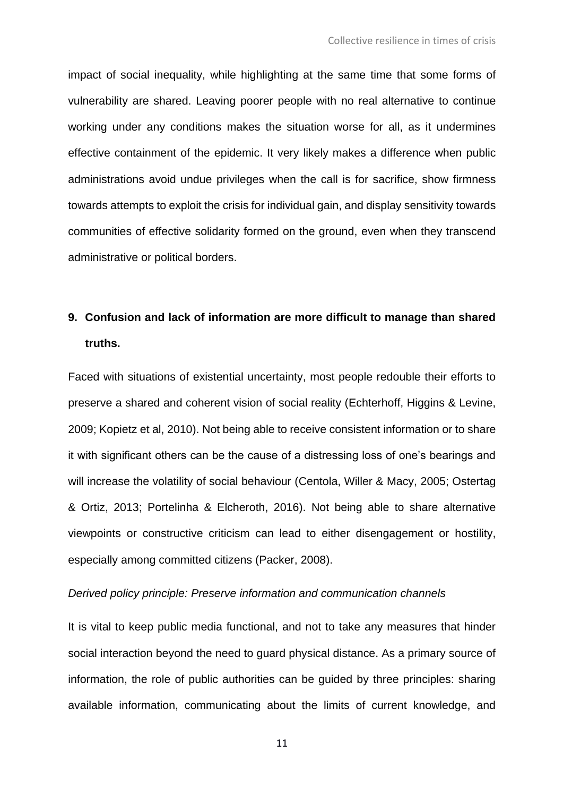impact of social inequality, while highlighting at the same time that some forms of vulnerability are shared. Leaving poorer people with no real alternative to continue working under any conditions makes the situation worse for all, as it undermines effective containment of the epidemic. It very likely makes a difference when public administrations avoid undue privileges when the call is for sacrifice, show firmness towards attempts to exploit the crisis for individual gain, and display sensitivity towards communities of effective solidarity formed on the ground, even when they transcend administrative or political borders.

### **9. Confusion and lack of information are more difficult to manage than shared truths.**

Faced with situations of existential uncertainty, most people redouble their efforts to preserve a shared and coherent vision of social reality (Echterhoff, Higgins & Levine, 2009; Kopietz et al, 2010). Not being able to receive consistent information or to share it with significant others can be the cause of a distressing loss of one's bearings and will increase the volatility of social behaviour (Centola, Willer & Macy, 2005; Ostertag & Ortiz, 2013; Portelinha & Elcheroth, 2016). Not being able to share alternative viewpoints or constructive criticism can lead to either disengagement or hostility, especially among committed citizens (Packer, 2008).

### *Derived policy principle: Preserve information and communication channels*

It is vital to keep public media functional, and not to take any measures that hinder social interaction beyond the need to guard physical distance. As a primary source of information, the role of public authorities can be guided by three principles: sharing available information, communicating about the limits of current knowledge, and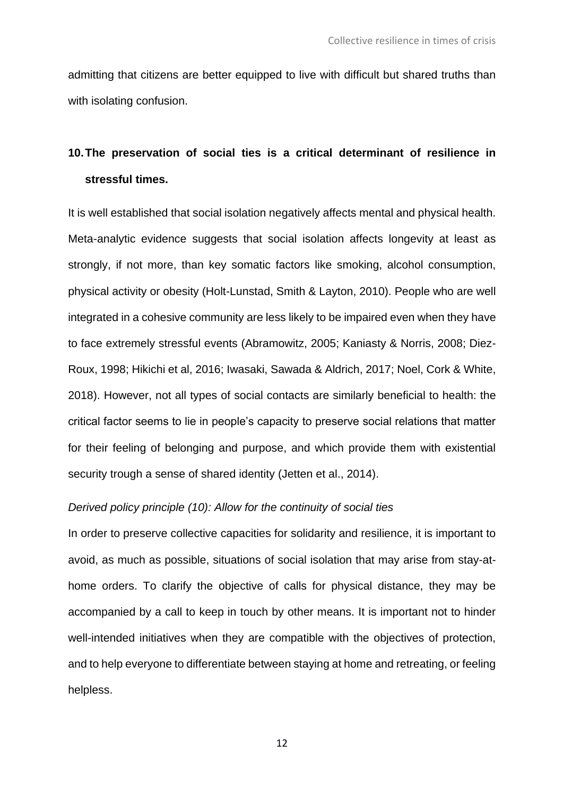admitting that citizens are better equipped to live with difficult but shared truths than with isolating confusion.

### **10.The preservation of social ties is a critical determinant of resilience in stressful times.**

It is well established that social isolation negatively affects mental and physical health. Meta-analytic evidence suggests that social isolation affects longevity at least as strongly, if not more, than key somatic factors like smoking, alcohol consumption, physical activity or obesity (Holt-Lunstad, Smith & Layton, 2010). People who are well integrated in a cohesive community are less likely to be impaired even when they have to face extremely stressful events (Abramowitz, 2005; Kaniasty & Norris, 2008; Diez-Roux, 1998; Hikichi et al, 2016; Iwasaki, Sawada & Aldrich, 2017; Noel, Cork & White, 2018). However, not all types of social contacts are similarly beneficial to health: the critical factor seems to lie in people's capacity to preserve social relations that matter for their feeling of belonging and purpose, and which provide them with existential security trough a sense of shared identity (Jetten et al., 2014).

### *Derived policy principle (10): Allow for the continuity of social ties*

In order to preserve collective capacities for solidarity and resilience, it is important to avoid, as much as possible, situations of social isolation that may arise from stay-athome orders. To clarify the objective of calls for physical distance, they may be accompanied by a call to keep in touch by other means. It is important not to hinder well-intended initiatives when they are compatible with the objectives of protection, and to help everyone to differentiate between staying at home and retreating, or feeling helpless.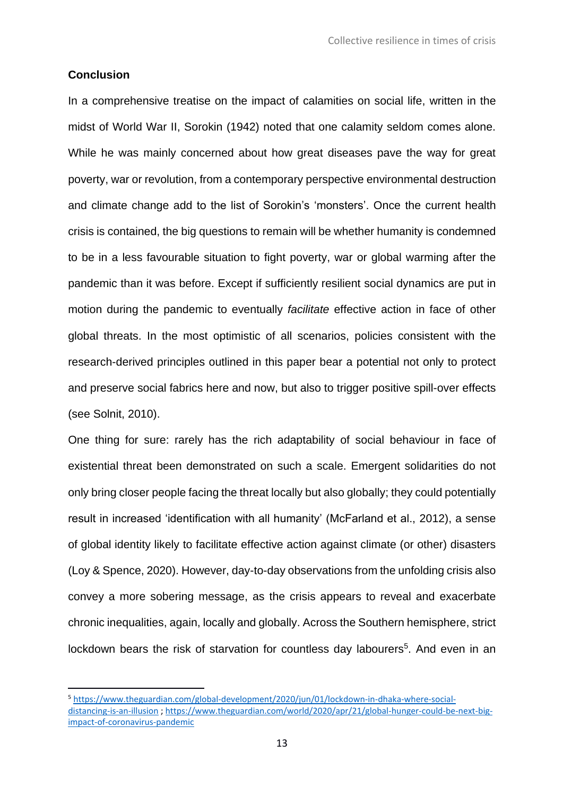### **Conclusion**

In a comprehensive treatise on the impact of calamities on social life, written in the midst of World War II, Sorokin (1942) noted that one calamity seldom comes alone. While he was mainly concerned about how great diseases pave the way for great poverty, war or revolution, from a contemporary perspective environmental destruction and climate change add to the list of Sorokin's 'monsters'. Once the current health crisis is contained, the big questions to remain will be whether humanity is condemned to be in a less favourable situation to fight poverty, war or global warming after the pandemic than it was before. Except if sufficiently resilient social dynamics are put in motion during the pandemic to eventually *facilitate* effective action in face of other global threats. In the most optimistic of all scenarios, policies consistent with the research-derived principles outlined in this paper bear a potential not only to protect and preserve social fabrics here and now, but also to trigger positive spill-over effects (see Solnit, 2010).

One thing for sure: rarely has the rich adaptability of social behaviour in face of existential threat been demonstrated on such a scale. Emergent solidarities do not only bring closer people facing the threat locally but also globally; they could potentially result in increased 'identification with all humanity' (McFarland et al., 2012), a sense of global identity likely to facilitate effective action against climate (or other) disasters (Loy & Spence, 2020). However, day-to-day observations from the unfolding crisis also convey a more sobering message, as the crisis appears to reveal and exacerbate chronic inequalities, again, locally and globally. Across the Southern hemisphere, strict lockdown bears the risk of starvation for countless day labourers<sup>5</sup>. And even in an

<sup>5</sup> [https://www.theguardian.com/global-development/2020/jun/01/lockdown-in-dhaka-where-social](https://www.theguardian.com/global-development/2020/jun/01/lockdown-in-dhaka-where-social-distancing-is-an-illusion)[distancing-is-an-illusion](https://www.theguardian.com/global-development/2020/jun/01/lockdown-in-dhaka-where-social-distancing-is-an-illusion) ; [https://www.theguardian.com/world/2020/apr/21/global-hunger-could-be-next-big](https://www.theguardian.com/world/2020/apr/21/global-hunger-could-be-next-big-impact-of-coronavirus-pandemic)[impact-of-coronavirus-pandemic](https://www.theguardian.com/world/2020/apr/21/global-hunger-could-be-next-big-impact-of-coronavirus-pandemic)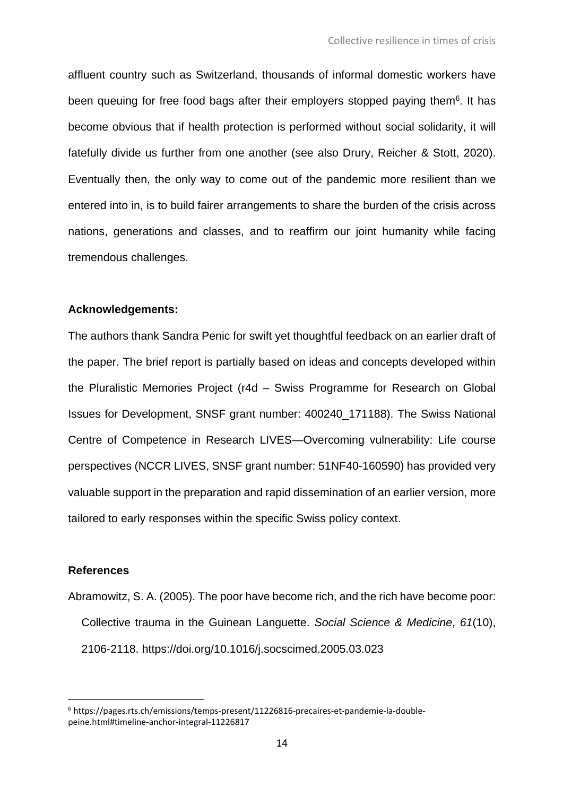affluent country such as Switzerland, thousands of informal domestic workers have been queuing for free food bags after their employers stopped paying them<sup>6</sup>. It has become obvious that if health protection is performed without social solidarity, it will fatefully divide us further from one another (see also Drury, Reicher & Stott, 2020). Eventually then, the only way to come out of the pandemic more resilient than we entered into in, is to build fairer arrangements to share the burden of the crisis across nations, generations and classes, and to reaffirm our joint humanity while facing tremendous challenges.

### **Acknowledgements:**

The authors thank Sandra Penic for swift yet thoughtful feedback on an earlier draft of the paper. The brief report is partially based on ideas and concepts developed within the Pluralistic Memories Project (r4d – Swiss Programme for Research on Global Issues for Development, SNSF grant number: 400240\_171188). The Swiss National Centre of Competence in Research LIVES—Overcoming vulnerability: Life course perspectives (NCCR LIVES, SNSF grant number: 51NF40-160590) has provided very valuable support in the preparation and rapid dissemination of an earlier version, more tailored to early responses within the specific Swiss policy context.

### **References**

Abramowitz, S. A. (2005). The poor have become rich, and the rich have become poor: Collective trauma in the Guinean Languette. *Social Science & Medicine*, *61*(10), 2106-2118. https://doi.org/10.1016/j.socscimed.2005.03.023

<sup>6</sup> https://pages.rts.ch/emissions/temps-present/11226816-precaires-et-pandemie-la-doublepeine.html#timeline-anchor-integral-11226817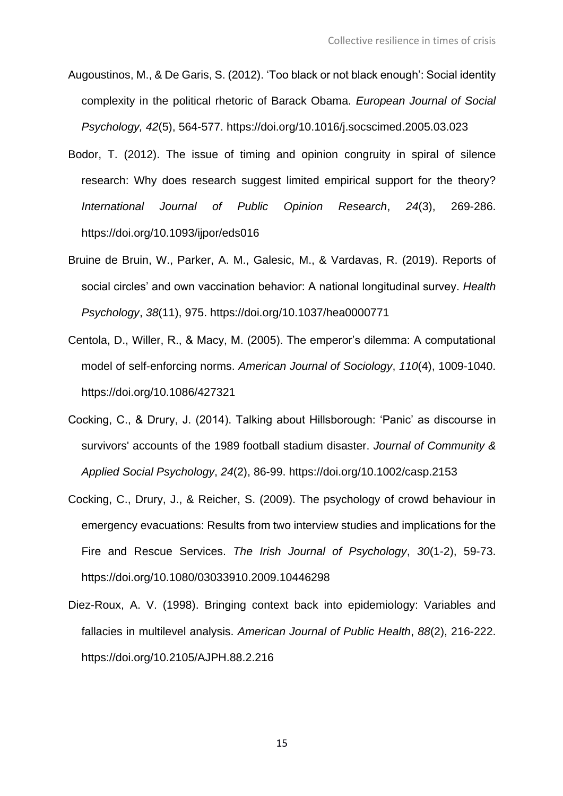- Augoustinos, M., & De Garis, S. (2012). 'Too black or not black enough': Social identity complexity in the political rhetoric of Barack Obama. *European Journal of Social Psychology, 42*(5), 564-577. https://doi.org/10.1016/j.socscimed.2005.03.023
- Bodor, T. (2012). The issue of timing and opinion congruity in spiral of silence research: Why does research suggest limited empirical support for the theory? *International Journal of Public Opinion Research*, *24*(3), 269-286. https://doi.org/10.1093/ijpor/eds016
- Bruine de Bruin, W., Parker, A. M., Galesic, M., & Vardavas, R. (2019). Reports of social circles' and own vaccination behavior: A national longitudinal survey. *Health Psychology*, *38*(11), 975. https://doi.org/10.1037/hea0000771
- Centola, D., Willer, R., & Macy, M. (2005). The emperor's dilemma: A computational model of self-enforcing norms. *American Journal of Sociology*, *110*(4), 1009-1040. https://doi.org/10.1086/427321
- Cocking, C., & Drury, J. (2014). Talking about Hillsborough: 'Panic' as discourse in survivors' accounts of the 1989 football stadium disaster. *Journal of Community & Applied Social Psychology*, *24*(2), 86-99. https://doi.org/10.1002/casp.2153
- Cocking, C., Drury, J., & Reicher, S. (2009). The psychology of crowd behaviour in emergency evacuations: Results from two interview studies and implications for the Fire and Rescue Services. *The Irish Journal of Psychology*, *30*(1-2), 59-73. https://doi.org/10.1080/03033910.2009.10446298
- Diez-Roux, A. V. (1998). Bringing context back into epidemiology: Variables and fallacies in multilevel analysis. *American Journal of Public Health*, *88*(2), 216-222. https://doi.org/10.2105/AJPH.88.2.216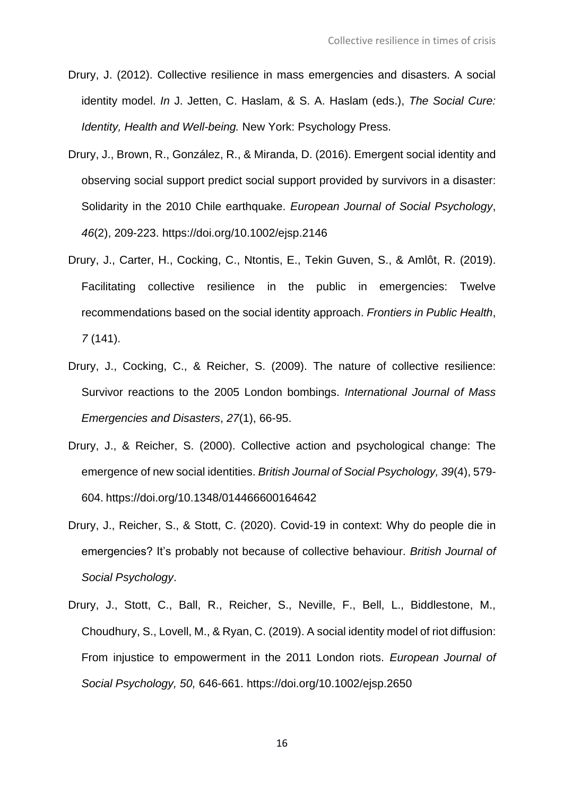- Drury, J. (2012). Collective resilience in mass emergencies and disasters. A social identity model. *In* J. Jetten, C. Haslam, & S. A. Haslam (eds.), *The Social Cure: Identity, Health and Well-being.* New York: Psychology Press.
- Drury, J., Brown, R., González, R., & Miranda, D. (2016). Emergent social identity and observing social support predict social support provided by survivors in a disaster: Solidarity in the 2010 Chile earthquake. *European Journal of Social Psychology*, *46*(2), 209-223. https://doi.org/10.1002/ejsp.2146
- Drury, J., Carter, H., Cocking, C., Ntontis, E., Tekin Guven, S., & Amlôt, R. (2019). Facilitating collective resilience in the public in emergencies: Twelve recommendations based on the social identity approach. *Frontiers in Public Health*, *7* (141).
- Drury, J., Cocking, C., & Reicher, S. (2009). The nature of collective resilience: Survivor reactions to the 2005 London bombings. *International Journal of Mass Emergencies and Disasters*, *27*(1), 66-95.
- Drury, J., & Reicher, S. (2000). Collective action and psychological change: The emergence of new social identities. *British Journal of Social Psychology, 39*(4), 579- 604. https://doi.org/10.1348/014466600164642
- Drury, J., Reicher, S., & Stott, C. (2020). Covid-19 in context: Why do people die in emergencies? It's probably not because of collective behaviour. *British Journal of Social Psychology*.
- Drury, J., Stott, C., Ball, R., Reicher, S., Neville, F., Bell, L., Biddlestone, M., Choudhury, S., Lovell, M., & Ryan, C. (2019). A social identity model of riot diffusion: From injustice to empowerment in the 2011 London riots. *European Journal of Social Psychology, 50,* 646-661. https://doi.org/10.1002/ejsp.2650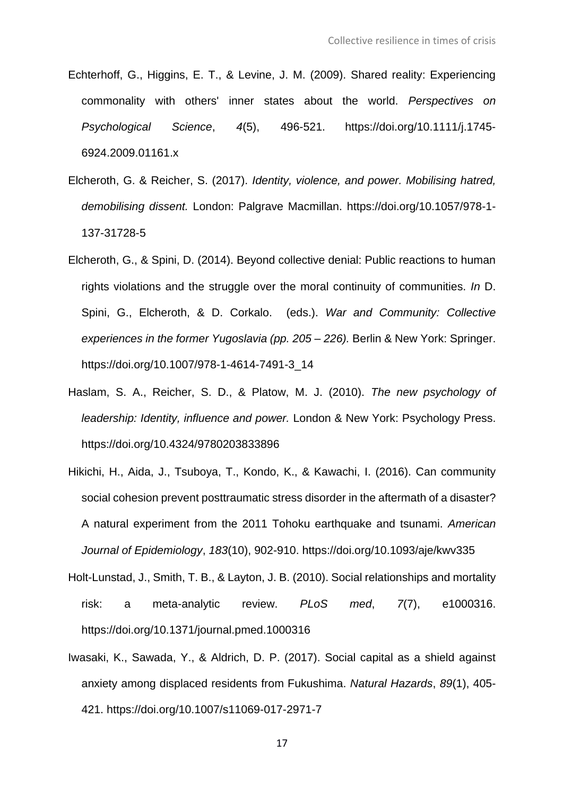- Echterhoff, G., Higgins, E. T., & Levine, J. M. (2009). Shared reality: Experiencing commonality with others' inner states about the world. *Perspectives on Psychological Science*, *4*(5), 496-521. https://doi.org/10.1111/j.1745- 6924.2009.01161.x
- Elcheroth, G. & Reicher, S. (2017). *Identity, violence, and power. Mobilising hatred, demobilising dissent.* London: Palgrave Macmillan. https://doi.org/10.1057/978-1- 137-31728-5
- Elcheroth, G., & Spini, D. (2014). Beyond collective denial: Public reactions to human rights violations and the struggle over the moral continuity of communities. *In* D. Spini, G., Elcheroth, & D. Corkalo. (eds.). *War and Community: Collective experiences in the former Yugoslavia (pp. 205 – 226).* Berlin & New York: Springer. https://doi.org/10.1007/978-1-4614-7491-3\_14
- Haslam, S. A., Reicher, S. D., & Platow, M. J. (2010). *The new psychology of leadership: Identity, influence and power.* London & New York: Psychology Press. https://doi.org/10.4324/9780203833896
- Hikichi, H., Aida, J., Tsuboya, T., Kondo, K., & Kawachi, I. (2016). Can community social cohesion prevent posttraumatic stress disorder in the aftermath of a disaster? A natural experiment from the 2011 Tohoku earthquake and tsunami. *American Journal of Epidemiology*, *183*(10), 902-910. https://doi.org/10.1093/aje/kwv335
- Holt-Lunstad, J., Smith, T. B., & Layton, J. B. (2010). Social relationships and mortality risk: a meta-analytic review. *PLoS med*, *7*(7), e1000316. https://doi.org/10.1371/journal.pmed.1000316
- Iwasaki, K., Sawada, Y., & Aldrich, D. P. (2017). Social capital as a shield against anxiety among displaced residents from Fukushima. *Natural Hazards*, *89*(1), 405- 421. https://doi.org/10.1007/s11069-017-2971-7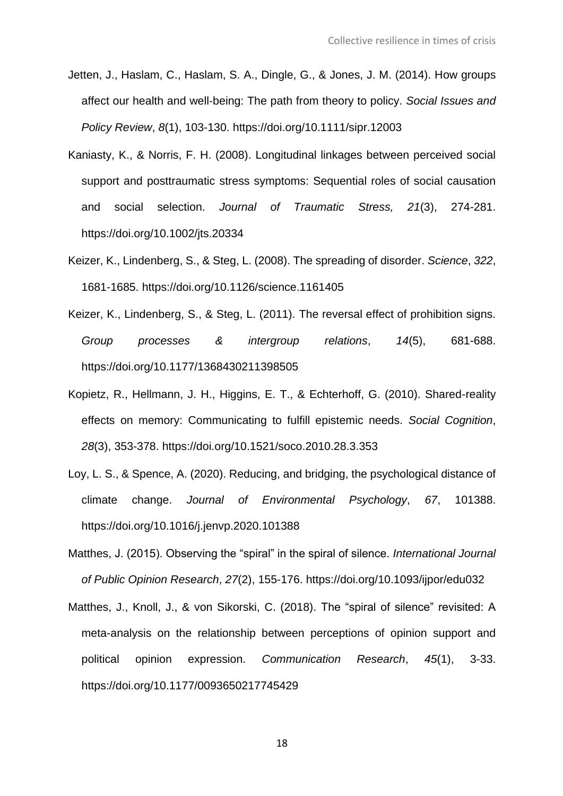- Jetten, J., Haslam, C., Haslam, S. A., Dingle, G., & Jones, J. M. (2014). How groups affect our health and well‐being: The path from theory to policy. *Social Issues and Policy Review*, *8*(1), 103-130. https://doi.org/10.1111/sipr.12003
- Kaniasty, K., & Norris, F. H. (2008). Longitudinal linkages between perceived social support and posttraumatic stress symptoms: Sequential roles of social causation and social selection. *Journal of Traumatic Stress, 21*(3), 274-281. https://doi.org/10.1002/jts.20334
- Keizer, K., Lindenberg, S., & Steg, L. (2008). The spreading of disorder. *Science*, *322*, 1681-1685. https://doi.org/10.1126/science.1161405
- Keizer, K., Lindenberg, S., & Steg, L. (2011). The reversal effect of prohibition signs. *Group processes & intergroup relations*, *14*(5), 681-688. https://doi.org/10.1177/1368430211398505
- Kopietz, R., Hellmann, J. H., Higgins, E. T., & Echterhoff, G. (2010). Shared-reality effects on memory: Communicating to fulfill epistemic needs. *Social Cognition*, *28*(3), 353-378. https://doi.org/10.1521/soco.2010.28.3.353
- Loy, L. S., & Spence, A. (2020). Reducing, and bridging, the psychological distance of climate change. *Journal of Environmental Psychology*, *67*, 101388. https://doi.org/10.1016/j.jenvp.2020.101388
- Matthes, J. (2015). Observing the "spiral" in the spiral of silence. *International Journal of Public Opinion Research*, *27*(2), 155-176. https://doi.org/10.1093/ijpor/edu032
- Matthes, J., Knoll, J., & von Sikorski, C. (2018). The "spiral of silence" revisited: A meta-analysis on the relationship between perceptions of opinion support and political opinion expression. *Communication Research*, *45*(1), 3-33. https://doi.org/10.1177/0093650217745429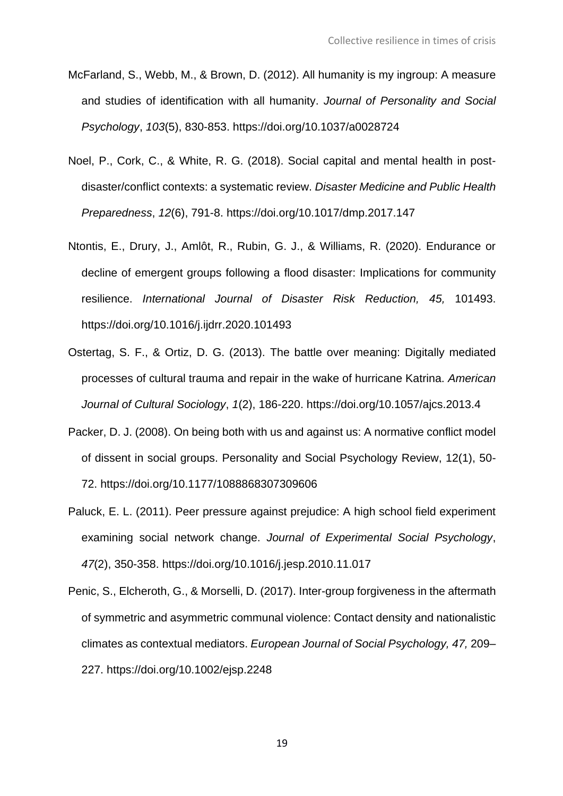- McFarland, S., Webb, M., & Brown, D. (2012). All humanity is my ingroup: A measure and studies of identification with all humanity. *Journal of Personality and Social Psychology*, *103*(5), 830-853. https://doi.org/10.1037/a0028724
- Noel, P., Cork, C., & White, R. G. (2018). Social capital and mental health in postdisaster/conflict contexts: a systematic review. *Disaster Medicine and Public Health Preparedness*, *12*(6), 791-8. https://doi.org/10.1017/dmp.2017.147
- Ntontis, E., Drury, J., Amlôt, R., Rubin, G. J., & Williams, R. (2020). Endurance or decline of emergent groups following a flood disaster: Implications for community resilience. *International Journal of Disaster Risk Reduction, 45,* 101493. https://doi.org/10.1016/j.ijdrr.2020.101493
- Ostertag, S. F., & Ortiz, D. G. (2013). The battle over meaning: Digitally mediated processes of cultural trauma and repair in the wake of hurricane Katrina. *American Journal of Cultural Sociology*, *1*(2), 186-220. https://doi.org/10.1057/ajcs.2013.4
- Packer, D. J. (2008). On being both with us and against us: A normative conflict model of dissent in social groups. Personality and Social Psychology Review, 12(1), 50- 72. https://doi.org/10.1177/1088868307309606
- Paluck, E. L. (2011). Peer pressure against prejudice: A high school field experiment examining social network change. *Journal of Experimental Social Psychology*, *47*(2), 350-358. https://doi.org/10.1016/j.jesp.2010.11.017
- Penic, S., Elcheroth, G., & Morselli, D. (2017). Inter-group forgiveness in the aftermath of symmetric and asymmetric communal violence: Contact density and nationalistic climates as contextual mediators. *European Journal of Social Psychology, 47,* 209– 227. https://doi.org/10.1002/ejsp.2248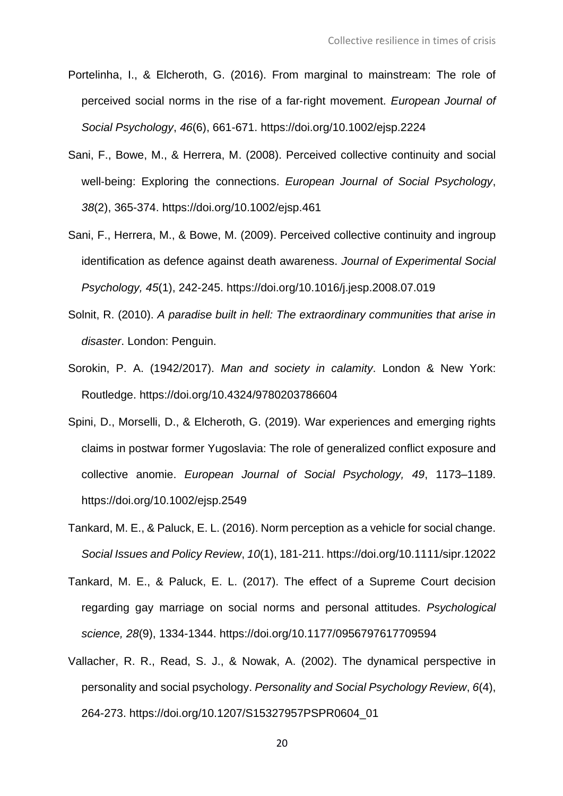- Portelinha, I., & Elcheroth, G. (2016). From marginal to mainstream: The role of perceived social norms in the rise of a far‐right movement. *European Journal of Social Psychology*, *46*(6), 661-671. https://doi.org/10.1002/ejsp.2224
- Sani, F., Bowe, M., & Herrera, M. (2008). Perceived collective continuity and social well‐being: Exploring the connections. *European Journal of Social Psychology*, *38*(2), 365-374. https://doi.org/10.1002/ejsp.461
- Sani, F., Herrera, M., & Bowe, M. (2009). Perceived collective continuity and ingroup identification as defence against death awareness. *Journal of Experimental Social Psychology, 45*(1), 242-245. https://doi.org/10.1016/j.jesp.2008.07.019
- Solnit, R. (2010). *A paradise built in hell: The extraordinary communities that arise in disaster*. London: Penguin.
- Sorokin, P. A. (1942/2017). *Man and society in calamity*. London & New York: Routledge. https://doi.org/10.4324/9780203786604
- Spini, D., Morselli, D., & Elcheroth, G. (2019). War experiences and emerging rights claims in postwar former Yugoslavia: The role of generalized conflict exposure and collective anomie. *European Journal of Social Psychology, 49*, 1173–1189. https://doi.org/10.1002/ejsp.2549
- Tankard, M. E., & Paluck, E. L. (2016). Norm perception as a vehicle for social change. *Social Issues and Policy Review*, *10*(1), 181-211. https://doi.org/10.1111/sipr.12022
- Tankard, M. E., & Paluck, E. L. (2017). The effect of a Supreme Court decision regarding gay marriage on social norms and personal attitudes. *Psychological science, 28*(9), 1334-1344. https://doi.org/10.1177/0956797617709594
- Vallacher, R. R., Read, S. J., & Nowak, A. (2002). The dynamical perspective in personality and social psychology. *Personality and Social Psychology Review*, *6*(4), 264-273. https://doi.org/10.1207/S15327957PSPR0604\_01